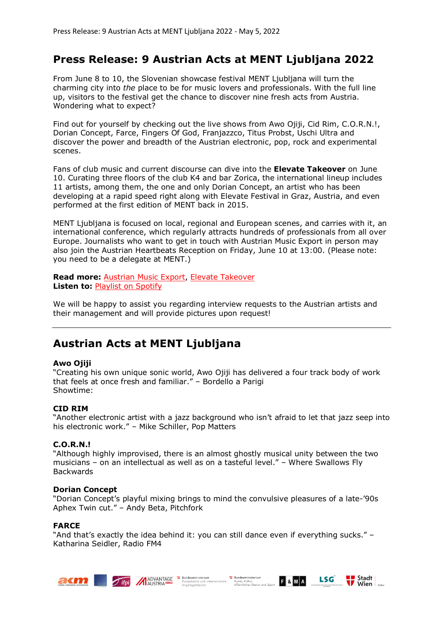## **Press Release: 9 Austrian Acts at MENT Ljubljana 2022**

From June 8 to 10, the Slovenian showcase festival MENT Ljubljana will turn the charming city into *the* place to be for music lovers and professionals. With the full line up, visitors to the festival get the chance to discover nine fresh acts from Austria. Wondering what to expect?

Find out for yourself by checking out the live shows from Awo Ojiji, Cid Rim, C.O.R.N.!, Dorian Concept, Farce, Fingers Of God, Franjazzco, Titus Probst, Uschi Ultra and discover the power and breadth of the Austrian electronic, pop, rock and experimental scenes.

Fans of club music and current discourse can dive into the **Elevate Takeover** on June 10. Curating three floors of the club K4 and bar Zorica, the international lineup includes 11 artists, among them, the one and only Dorian Concept, an artist who has been developing at a rapid speed right along with Elevate Festival in Graz, Austria, and even performed at the first edition of MENT back in 2015.

MENT Ljubljana is focused on local, regional and European scenes, and carries with it, an international conference, which regularly attracts hundreds of professionals from all over Europe. Journalists who want to get in touch with Austrian Music Export in person may also join the Austrian Heartbeats Reception on Friday, June 10 at 13:00. (Please note: you need to be a delegate at MENT.)

**Read more:** Austrian Music Export, Elevate Takeover **Listen to:** Playlist on Spotify

We will be happy to assist you regarding interview requests to the Austrian artists and their management and will provide pictures upon request!

# **Austrian Acts at MENT Ljubljana**

## **Awo Ojiji**

"Creating his own unique sonic world, Awo Ojiji has delivered a four track body of work that feels at once fresh and familiar." – Bordello a Parigi Showtime:

## **CID RIM**

"Another electronic artist with a jazz background who isn't afraid to let that jazz seep into his electronic work." – Mike Schiller, Pop Matters

## **C.O.R.N.!**

"Although highly improvised, there is an almost ghostly musical unity between the two musicians – on an intellectual as well as on a tasteful level." – Where Swallows Fly Backwards

#### **Dorian Concept**

"Dorian Concept's playful mixing brings to mind the convulsive pleasures of a late-'90s Aphex Twin cut." – Andy Beta, Pitchfork

#### **FARCE**

"And that's exactly the idea behind it: you can still dance even if everything sucks." – Katharina Seidler, Radio FM4







 $\left\| \begin{array}{c} \text{Stadt} \\ \text{Wien} \end{array} \right\|_{\text{kultur}}$